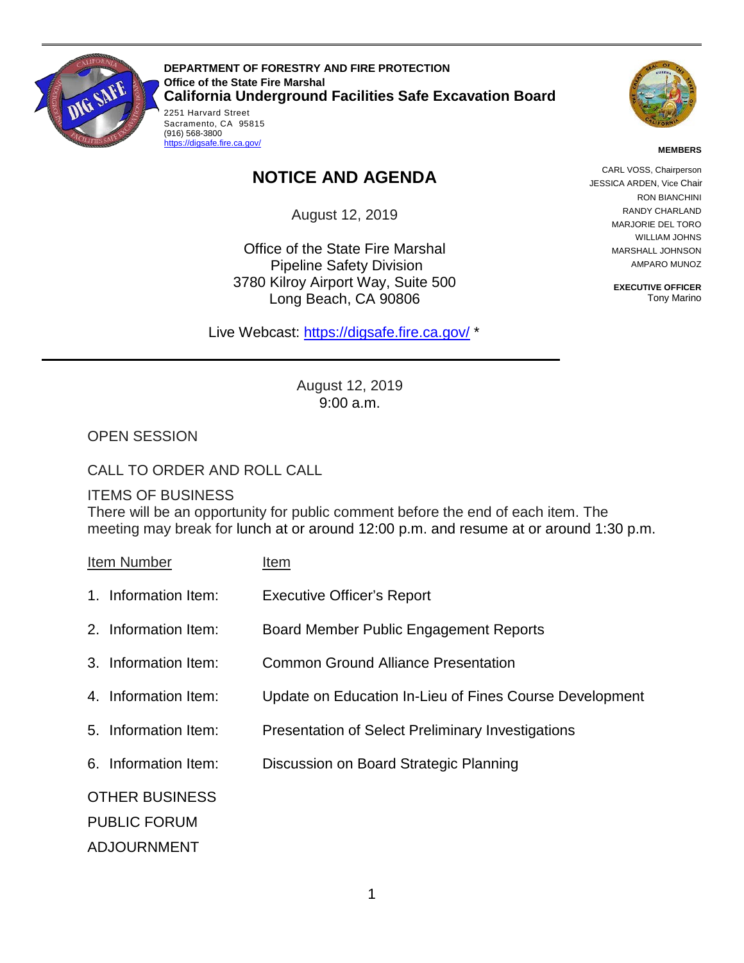

Sacramento, CA 95815<br>(916) 568-3800 **DEPARTMENT OF FORESTRY AND FIRE PROTECTION Office of the State Fire Marshal California Underground Facilities Safe Excavation Board**  2251 Harvard Street



#### **MEMBERS**

# **NOTICE AND AGENDA**

August 12, 2019

Office of the State Fire Marshal Pipeline Safety Division 3780 Kilroy Airport Way, Suite 500 Long Beach, CA 90806

Live Webcast: [https://digsafe.fire.ca.gov/](https://global.gotomeeting.com/join/883967957) \*

CARL VOSS, Chairperson CARL VOSS, Chairperson JESSICA ARDEN, Vice Chair RON BIANCHINI RANDY CHARLAND MARJORIE DEL TORO WILLIAM JOHNS MARSHALL JOHNSON AMPARO MUNOZ

> **EXECUTIVE OFFICER**  Tony Marino

 August 12, 2019 9:00 a.m.

OPEN SESSION

### CALL TO ORDER AND ROLL CALL

(916) 568-3800<br><u>https://digsafe.fire.ca.gov/</u>

#### ITEMS OF BUSINESS

There will be an opportunity for public comment before the end of each item. The meeting may break for lunch at or around 12:00 p.m. and resume at or around 1:30 p.m.

Item Number Item

- 
- 1. Information Item: Executive Officer's Report
- 2. Information Item: Board Member Public Engagement Reports
- 3. Information Item: Common Ground Alliance Presentation
- 4. Information Item: Update on Education In-Lieu of Fines Course Development
- 5. Information Item: Presentation of Select Preliminary Investigations
- 6. Information Item: Discussion on Board Strategic Planning

OTHER BUSINESS

PUBLIC FORUM

ADJOURNMENT